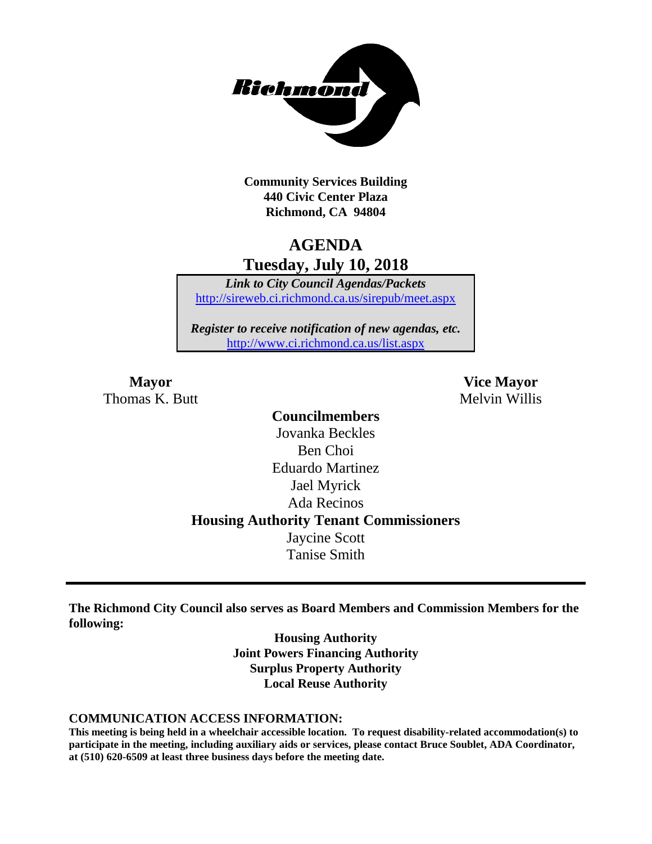

**Community Services Building 440 Civic Center Plaza Richmond, CA 94804**

## **AGENDA Tuesday, July 10, 2018**

*Link to City Council Agendas/Packets* <http://sireweb.ci.richmond.ca.us/sirepub/meet.aspx>

*Register to receive notification of new agendas, etc.* <http://www.ci.richmond.ca.us/list.aspx>

Thomas K. Butt Melvin Willis

**Mayor Vice Mayor**

**Councilmembers** Jovanka Beckles Ben Choi Eduardo Martinez Jael Myrick Ada Recinos **Housing Authority Tenant Commissioners** Jaycine Scott Tanise Smith

**The Richmond City Council also serves as Board Members and Commission Members for the following:**

> **Housing Authority Joint Powers Financing Authority Surplus Property Authority Local Reuse Authority**

#### **COMMUNICATION ACCESS INFORMATION:**

**This meeting is being held in a wheelchair accessible location. To request disability-related accommodation(s) to participate in the meeting, including auxiliary aids or services, please contact Bruce Soublet, ADA Coordinator, at (510) 620-6509 at least three business days before the meeting date.**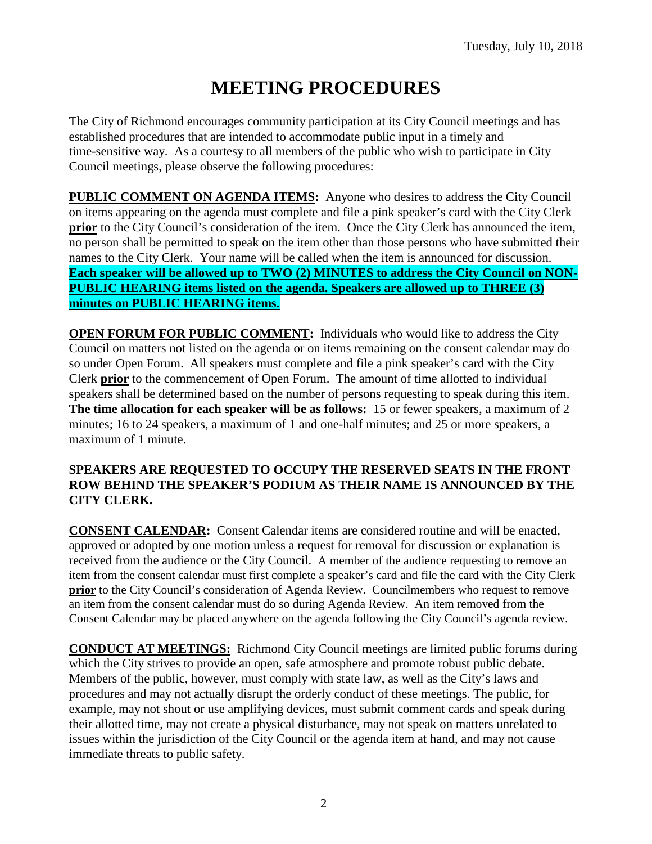# **MEETING PROCEDURES**

The City of Richmond encourages community participation at its City Council meetings and has established procedures that are intended to accommodate public input in a timely and time-sensitive way. As a courtesy to all members of the public who wish to participate in City Council meetings, please observe the following procedures:

**PUBLIC COMMENT ON AGENDA ITEMS:** Anyone who desires to address the City Council on items appearing on the agenda must complete and file a pink speaker's card with the City Clerk **prior** to the City Council's consideration of the item. Once the City Clerk has announced the item, no person shall be permitted to speak on the item other than those persons who have submitted their names to the City Clerk. Your name will be called when the item is announced for discussion. **Each speaker will be allowed up to TWO (2) MINUTES to address the City Council on NON-PUBLIC HEARING items listed on the agenda. Speakers are allowed up to THREE (3) minutes on PUBLIC HEARING items.**

**OPEN FORUM FOR PUBLIC COMMENT:** Individuals who would like to address the City Council on matters not listed on the agenda or on items remaining on the consent calendar may do so under Open Forum. All speakers must complete and file a pink speaker's card with the City Clerk **prior** to the commencement of Open Forum. The amount of time allotted to individual speakers shall be determined based on the number of persons requesting to speak during this item. **The time allocation for each speaker will be as follows:** 15 or fewer speakers, a maximum of 2 minutes; 16 to 24 speakers, a maximum of 1 and one-half minutes; and 25 or more speakers, a maximum of 1 minute.

#### **SPEAKERS ARE REQUESTED TO OCCUPY THE RESERVED SEATS IN THE FRONT ROW BEHIND THE SPEAKER'S PODIUM AS THEIR NAME IS ANNOUNCED BY THE CITY CLERK.**

**CONSENT CALENDAR:** Consent Calendar items are considered routine and will be enacted, approved or adopted by one motion unless a request for removal for discussion or explanation is received from the audience or the City Council. A member of the audience requesting to remove an item from the consent calendar must first complete a speaker's card and file the card with the City Clerk **prior** to the City Council's consideration of Agenda Review. Councilmembers who request to remove an item from the consent calendar must do so during Agenda Review. An item removed from the Consent Calendar may be placed anywhere on the agenda following the City Council's agenda review.

**CONDUCT AT MEETINGS:** Richmond City Council meetings are limited public forums during which the City strives to provide an open, safe atmosphere and promote robust public debate. Members of the public, however, must comply with state law, as well as the City's laws and procedures and may not actually disrupt the orderly conduct of these meetings. The public, for example, may not shout or use amplifying devices, must submit comment cards and speak during their allotted time, may not create a physical disturbance, may not speak on matters unrelated to issues within the jurisdiction of the City Council or the agenda item at hand, and may not cause immediate threats to public safety.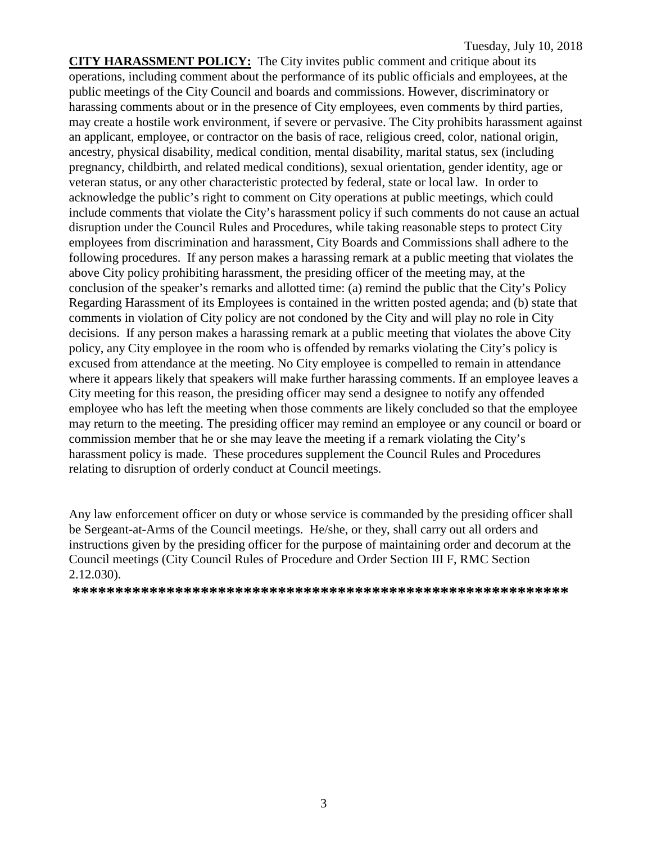**CITY HARASSMENT POLICY:** The City invites public comment and critique about its operations, including comment about the performance of its public officials and employees, at the public meetings of the City Council and boards and commissions. However, discriminatory or harassing comments about or in the presence of City employees, even comments by third parties, may create a hostile work environment, if severe or pervasive. The City prohibits harassment against an applicant, employee, or contractor on the basis of race, religious creed, color, national origin, ancestry, physical disability, medical condition, mental disability, marital status, sex (including pregnancy, childbirth, and related medical conditions), sexual orientation, gender identity, age or veteran status, or any other characteristic protected by federal, state or local law. In order to acknowledge the public's right to comment on City operations at public meetings, which could include comments that violate the City's harassment policy if such comments do not cause an actual disruption under the Council Rules and Procedures, while taking reasonable steps to protect City employees from discrimination and harassment, City Boards and Commissions shall adhere to the following procedures. If any person makes a harassing remark at a public meeting that violates the above City policy prohibiting harassment, the presiding officer of the meeting may, at the conclusion of the speaker's remarks and allotted time: (a) remind the public that the City's Policy Regarding Harassment of its Employees is contained in the written posted agenda; and (b) state that comments in violation of City policy are not condoned by the City and will play no role in City decisions. If any person makes a harassing remark at a public meeting that violates the above City policy, any City employee in the room who is offended by remarks violating the City's policy is excused from attendance at the meeting. No City employee is compelled to remain in attendance where it appears likely that speakers will make further harassing comments. If an employee leaves a City meeting for this reason, the presiding officer may send a designee to notify any offended employee who has left the meeting when those comments are likely concluded so that the employee may return to the meeting. The presiding officer may remind an employee or any council or board or commission member that he or she may leave the meeting if a remark violating the City's harassment policy is made. These procedures supplement the Council Rules and Procedures relating to disruption of orderly conduct at Council meetings.

Any law enforcement officer on duty or whose service is commanded by the presiding officer shall be Sergeant-at-Arms of the Council meetings. He/she, or they, shall carry out all orders and instructions given by the presiding officer for the purpose of maintaining order and decorum at the Council meetings (City Council Rules of Procedure and Order Section III F, RMC Section 2.12.030).

**\*\*\*\*\*\*\*\*\*\*\*\*\*\*\*\*\*\*\*\*\*\*\*\*\*\*\*\*\*\*\*\*\*\*\*\*\*\*\*\*\*\*\*\*\*\*\*\*\*\*\*\*\*\*\*\*\*\***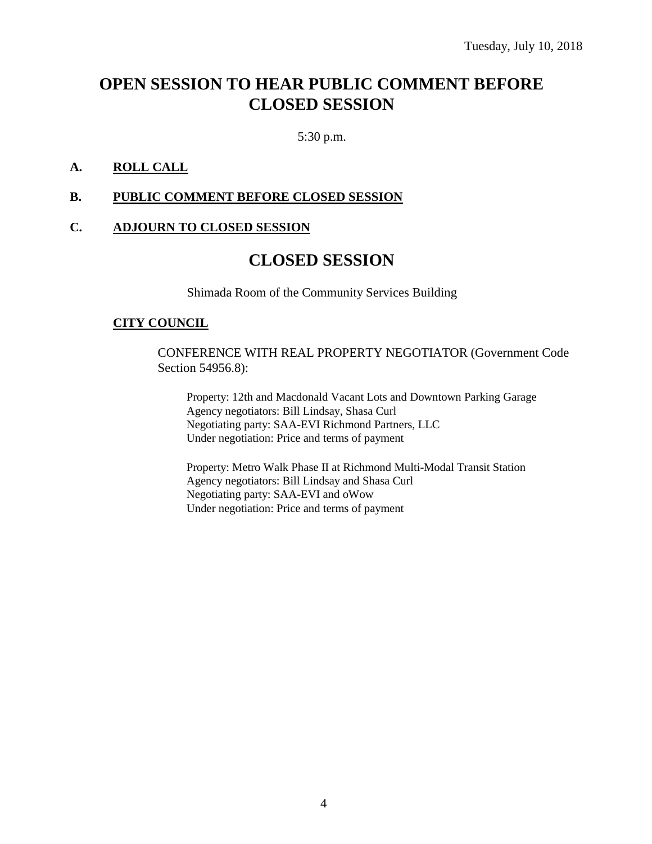## **OPEN SESSION TO HEAR PUBLIC COMMENT BEFORE CLOSED SESSION**

5:30 p.m.

#### **A. ROLL CALL**

#### **B. PUBLIC COMMENT BEFORE CLOSED SESSION**

#### **C. ADJOURN TO CLOSED SESSION**

## **CLOSED SESSION**

Shimada Room of the Community Services Building

#### **CITY COUNCIL**

CONFERENCE WITH REAL PROPERTY NEGOTIATOR (Government Code Section 54956.8):

Property: 12th and Macdonald Vacant Lots and Downtown Parking Garage Agency negotiators: Bill Lindsay, Shasa Curl Negotiating party: SAA-EVI Richmond Partners, LLC Under negotiation: Price and terms of payment

Property: Metro Walk Phase II at Richmond Multi-Modal Transit Station Agency negotiators: Bill Lindsay and Shasa Curl Negotiating party: SAA-EVI and oWow Under negotiation: Price and terms of payment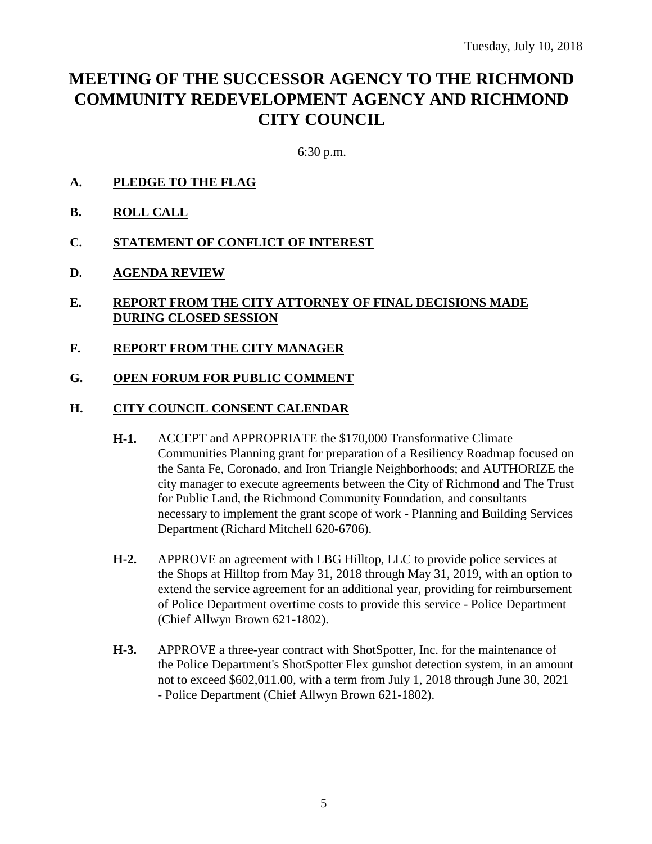## **MEETING OF THE SUCCESSOR AGENCY TO THE RICHMOND COMMUNITY REDEVELOPMENT AGENCY AND RICHMOND CITY COUNCIL**

6:30 p.m.

- **A. PLEDGE TO THE FLAG**
- **B. ROLL CALL**
- **C. STATEMENT OF CONFLICT OF INTEREST**
- **D. AGENDA REVIEW**
- **E. REPORT FROM THE CITY ATTORNEY OF FINAL DECISIONS MADE DURING CLOSED SESSION**
- **F. REPORT FROM THE CITY MANAGER**
- **G. OPEN FORUM FOR PUBLIC COMMENT**

#### **H. CITY COUNCIL CONSENT CALENDAR**

- **H-1.** ACCEPT and APPROPRIATE the \$170,000 Transformative Climate Communities Planning grant for preparation of a Resiliency Roadmap focused on the Santa Fe, Coronado, and Iron Triangle Neighborhoods; and AUTHORIZE the city manager to execute agreements between the City of Richmond and The Trust for Public Land, the Richmond Community Foundation, and consultants necessary to implement the grant scope of work - Planning and Building Services Department (Richard Mitchell 620-6706).
- **H-2.** APPROVE an agreement with LBG Hilltop, LLC to provide police services at the Shops at Hilltop from May 31, 2018 through May 31, 2019, with an option to extend the service agreement for an additional year, providing for reimbursement of Police Department overtime costs to provide this service - Police Department (Chief Allwyn Brown 621-1802).
- **H-3.** APPROVE a three-year contract with ShotSpotter, Inc. for the maintenance of the Police Department's ShotSpotter Flex gunshot detection system, in an amount not to exceed \$602,011.00, with a term from July 1, 2018 through June 30, 2021 - Police Department (Chief Allwyn Brown 621-1802).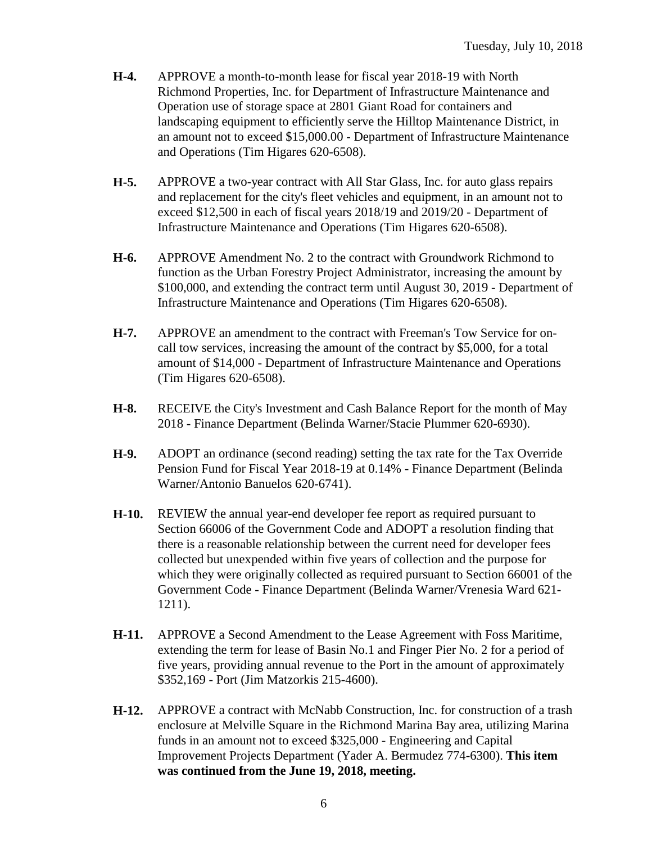- **H-4.** APPROVE a month-to-month lease for fiscal year 2018-19 with North Richmond Properties, Inc. for Department of Infrastructure Maintenance and Operation use of storage space at 2801 Giant Road for containers and landscaping equipment to efficiently serve the Hilltop Maintenance District, in an amount not to exceed \$15,000.00 - Department of Infrastructure Maintenance and Operations (Tim Higares 620-6508).
- **H-5.** APPROVE a two-year contract with All Star Glass, Inc. for auto glass repairs and replacement for the city's fleet vehicles and equipment, in an amount not to exceed \$12,500 in each of fiscal years 2018/19 and 2019/20 - Department of Infrastructure Maintenance and Operations (Tim Higares 620-6508).
- **H-6.** APPROVE Amendment No. 2 to the contract with Groundwork Richmond to function as the Urban Forestry Project Administrator, increasing the amount by \$100,000, and extending the contract term until August 30, 2019 - Department of Infrastructure Maintenance and Operations (Tim Higares 620-6508).
- **H-7.** APPROVE an amendment to the contract with Freeman's Tow Service for oncall tow services, increasing the amount of the contract by \$5,000, for a total amount of \$14,000 - Department of Infrastructure Maintenance and Operations (Tim Higares 620-6508).
- **H-8.** RECEIVE the City's Investment and Cash Balance Report for the month of May 2018 - Finance Department (Belinda Warner/Stacie Plummer 620-6930).
- **H-9.** ADOPT an ordinance (second reading) setting the tax rate for the Tax Override Pension Fund for Fiscal Year 2018-19 at 0.14% - Finance Department (Belinda Warner/Antonio Banuelos 620-6741).
- **H-10.** REVIEW the annual year-end developer fee report as required pursuant to Section 66006 of the Government Code and ADOPT a resolution finding that there is a reasonable relationship between the current need for developer fees collected but unexpended within five years of collection and the purpose for which they were originally collected as required pursuant to Section 66001 of the Government Code - Finance Department (Belinda Warner/Vrenesia Ward 621- 1211).
- **H-11.** APPROVE a Second Amendment to the Lease Agreement with Foss Maritime, extending the term for lease of Basin No.1 and Finger Pier No. 2 for a period of five years, providing annual revenue to the Port in the amount of approximately \$352,169 - Port (Jim Matzorkis 215-4600).
- **H-12.** APPROVE a contract with McNabb Construction, Inc. for construction of a trash enclosure at Melville Square in the Richmond Marina Bay area, utilizing Marina funds in an amount not to exceed \$325,000 - Engineering and Capital Improvement Projects Department (Yader A. Bermudez 774-6300). **This item was continued from the June 19, 2018, meeting.**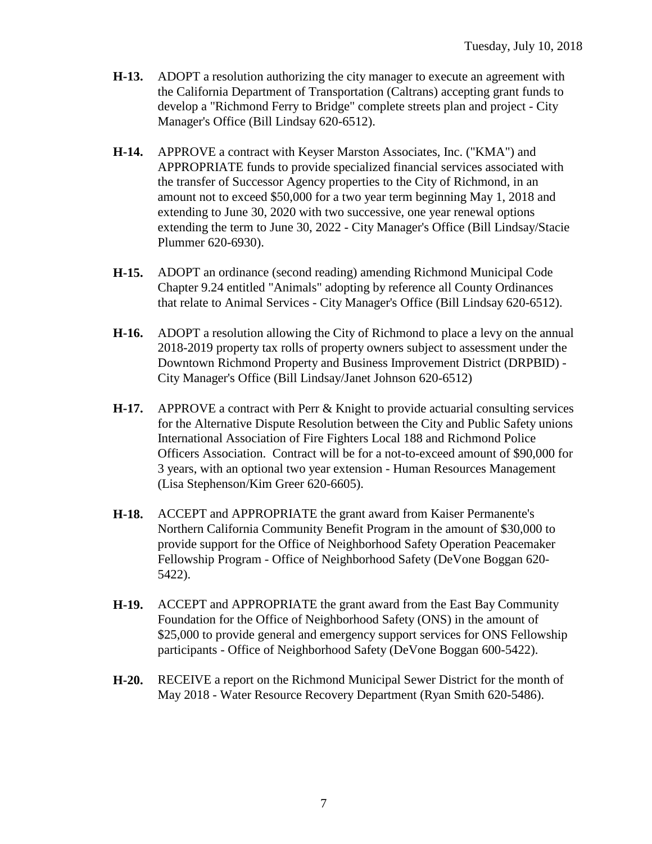- **H-13.** ADOPT a resolution authorizing the city manager to execute an agreement with the California Department of Transportation (Caltrans) accepting grant funds to develop a "Richmond Ferry to Bridge" complete streets plan and project - City Manager's Office (Bill Lindsay 620-6512).
- **H-14.** APPROVE a contract with Keyser Marston Associates, Inc. ("KMA") and APPROPRIATE funds to provide specialized financial services associated with the transfer of Successor Agency properties to the City of Richmond, in an amount not to exceed \$50,000 for a two year term beginning May 1, 2018 and extending to June 30, 2020 with two successive, one year renewal options extending the term to June 30, 2022 - City Manager's Office (Bill Lindsay/Stacie Plummer 620-6930).
- **H-15.** ADOPT an ordinance (second reading) amending Richmond Municipal Code Chapter 9.24 entitled "Animals" adopting by reference all County Ordinances that relate to Animal Services - City Manager's Office (Bill Lindsay 620-6512).
- **H-16.** ADOPT a resolution allowing the City of Richmond to place a levy on the annual 2018-2019 property tax rolls of property owners subject to assessment under the Downtown Richmond Property and Business Improvement District (DRPBID) - City Manager's Office (Bill Lindsay/Janet Johnson 620-6512)
- **H-17.** APPROVE a contract with Perr & Knight to provide actuarial consulting services for the Alternative Dispute Resolution between the City and Public Safety unions International Association of Fire Fighters Local 188 and Richmond Police Officers Association. Contract will be for a not-to-exceed amount of \$90,000 for 3 years, with an optional two year extension - Human Resources Management (Lisa Stephenson/Kim Greer 620-6605).
- **H-18.** ACCEPT and APPROPRIATE the grant award from Kaiser Permanente's Northern California Community Benefit Program in the amount of \$30,000 to provide support for the Office of Neighborhood Safety Operation Peacemaker Fellowship Program - Office of Neighborhood Safety (DeVone Boggan 620- 5422).
- **H-19.** ACCEPT and APPROPRIATE the grant award from the East Bay Community Foundation for the Office of Neighborhood Safety (ONS) in the amount of \$25,000 to provide general and emergency support services for ONS Fellowship participants - Office of Neighborhood Safety (DeVone Boggan 600-5422).
- **H-20.** RECEIVE a report on the Richmond Municipal Sewer District for the month of May 2018 - Water Resource Recovery Department (Ryan Smith 620-5486).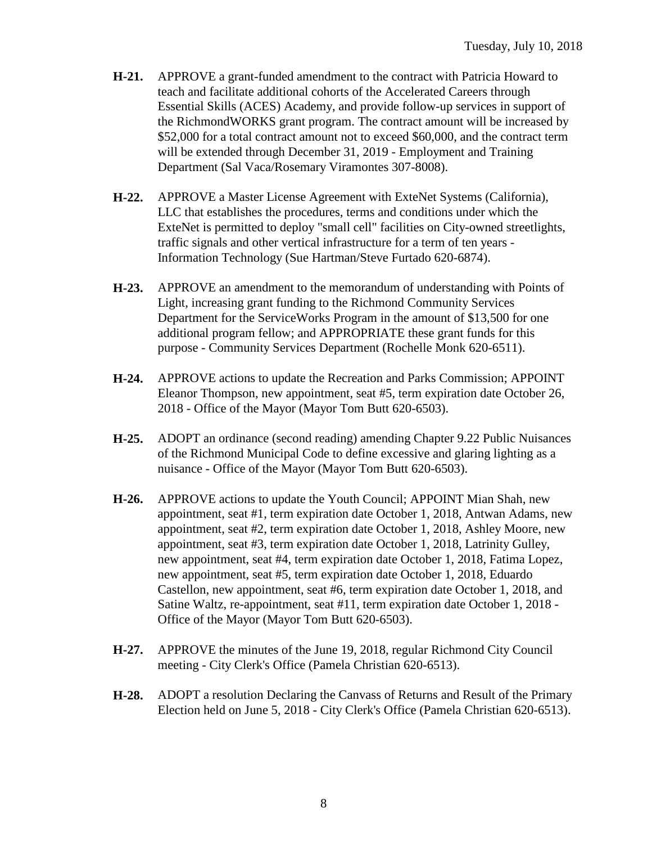- **H-21.** APPROVE a grant-funded amendment to the contract with Patricia Howard to teach and facilitate additional cohorts of the Accelerated Careers through Essential Skills (ACES) Academy, and provide follow-up services in support of the RichmondWORKS grant program. The contract amount will be increased by \$52,000 for a total contract amount not to exceed \$60,000, and the contract term will be extended through December 31, 2019 - Employment and Training Department (Sal Vaca/Rosemary Viramontes 307-8008).
- **H-22.** APPROVE a Master License Agreement with ExteNet Systems (California), LLC that establishes the procedures, terms and conditions under which the ExteNet is permitted to deploy "small cell" facilities on City-owned streetlights, traffic signals and other vertical infrastructure for a term of ten years - Information Technology (Sue Hartman/Steve Furtado 620-6874).
- **H-23.** APPROVE an amendment to the memorandum of understanding with Points of Light, increasing grant funding to the Richmond Community Services Department for the ServiceWorks Program in the amount of \$13,500 for one additional program fellow; and APPROPRIATE these grant funds for this purpose - Community Services Department (Rochelle Monk 620-6511).
- **H-24.** APPROVE actions to update the Recreation and Parks Commission; APPOINT Eleanor Thompson, new appointment, seat #5, term expiration date October 26, 2018 - Office of the Mayor (Mayor Tom Butt 620-6503).
- **H-25.** ADOPT an ordinance (second reading) amending Chapter 9.22 Public Nuisances of the Richmond Municipal Code to define excessive and glaring lighting as a nuisance - Office of the Mayor (Mayor Tom Butt 620-6503).
- **H-26.** APPROVE actions to update the Youth Council; APPOINT Mian Shah, new appointment, seat #1, term expiration date October 1, 2018, Antwan Adams, new appointment, seat #2, term expiration date October 1, 2018, Ashley Moore, new appointment, seat #3, term expiration date October 1, 2018, Latrinity Gulley, new appointment, seat #4, term expiration date October 1, 2018, Fatima Lopez, new appointment, seat #5, term expiration date October 1, 2018, Eduardo Castellon, new appointment, seat #6, term expiration date October 1, 2018, and Satine Waltz, re-appointment, seat #11, term expiration date October 1, 2018 - Office of the Mayor (Mayor Tom Butt 620-6503).
- **H-27.** APPROVE the minutes of the June 19, 2018, regular Richmond City Council meeting - City Clerk's Office (Pamela Christian 620-6513).
- **H-28.** ADOPT a resolution Declaring the Canvass of Returns and Result of the Primary Election held on June 5, 2018 - City Clerk's Office (Pamela Christian 620-6513).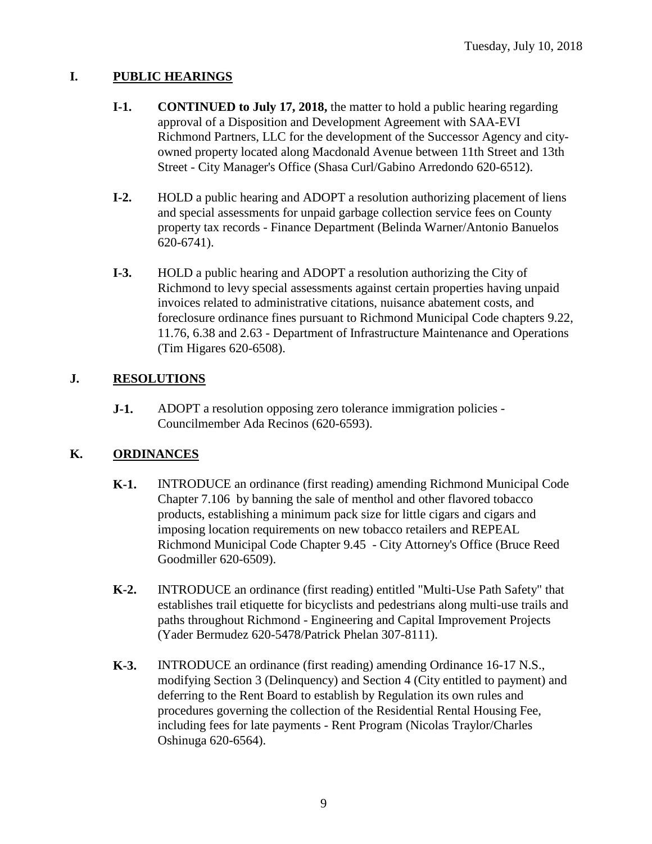## **I. PUBLIC HEARINGS**

- **I-1. CONTINUED to July 17, 2018,** the matter to hold a public hearing regarding approval of a Disposition and Development Agreement with SAA-EVI Richmond Partners, LLC for the development of the Successor Agency and cityowned property located along Macdonald Avenue between 11th Street and 13th Street - City Manager's Office (Shasa Curl/Gabino Arredondo 620-6512).
- **I-2.** HOLD a public hearing and ADOPT a resolution authorizing placement of liens and special assessments for unpaid garbage collection service fees on County property tax records - Finance Department (Belinda Warner/Antonio Banuelos 620-6741).
- **I-3.** HOLD a public hearing and ADOPT a resolution authorizing the City of Richmond to levy special assessments against certain properties having unpaid invoices related to administrative citations, nuisance abatement costs, and foreclosure ordinance fines pursuant to Richmond Municipal Code chapters 9.22, 11.76, 6.38 and 2.63 - Department of Infrastructure Maintenance and Operations (Tim Higares 620-6508).

## **J. RESOLUTIONS**

**J-1.** ADOPT a resolution opposing zero tolerance immigration policies -Councilmember Ada Recinos (620-6593).

### **K. ORDINANCES**

- **K-1.** INTRODUCE an ordinance (first reading) amending Richmond Municipal Code Chapter 7.106 by banning the sale of menthol and other flavored tobacco products, establishing a minimum pack size for little cigars and cigars and imposing location requirements on new tobacco retailers and REPEAL Richmond Municipal Code Chapter 9.45 - City Attorney's Office (Bruce Reed Goodmiller 620-6509).
- **K-2.** INTRODUCE an ordinance (first reading) entitled "Multi-Use Path Safety" that establishes trail etiquette for bicyclists and pedestrians along multi-use trails and paths throughout Richmond - Engineering and Capital Improvement Projects (Yader Bermudez 620-5478/Patrick Phelan 307-8111).
- **K-3.** INTRODUCE an ordinance (first reading) amending Ordinance 16-17 N.S., modifying Section 3 (Delinquency) and Section 4 (City entitled to payment) and deferring to the Rent Board to establish by Regulation its own rules and procedures governing the collection of the Residential Rental Housing Fee, including fees for late payments - Rent Program (Nicolas Traylor/Charles Oshinuga 620-6564).